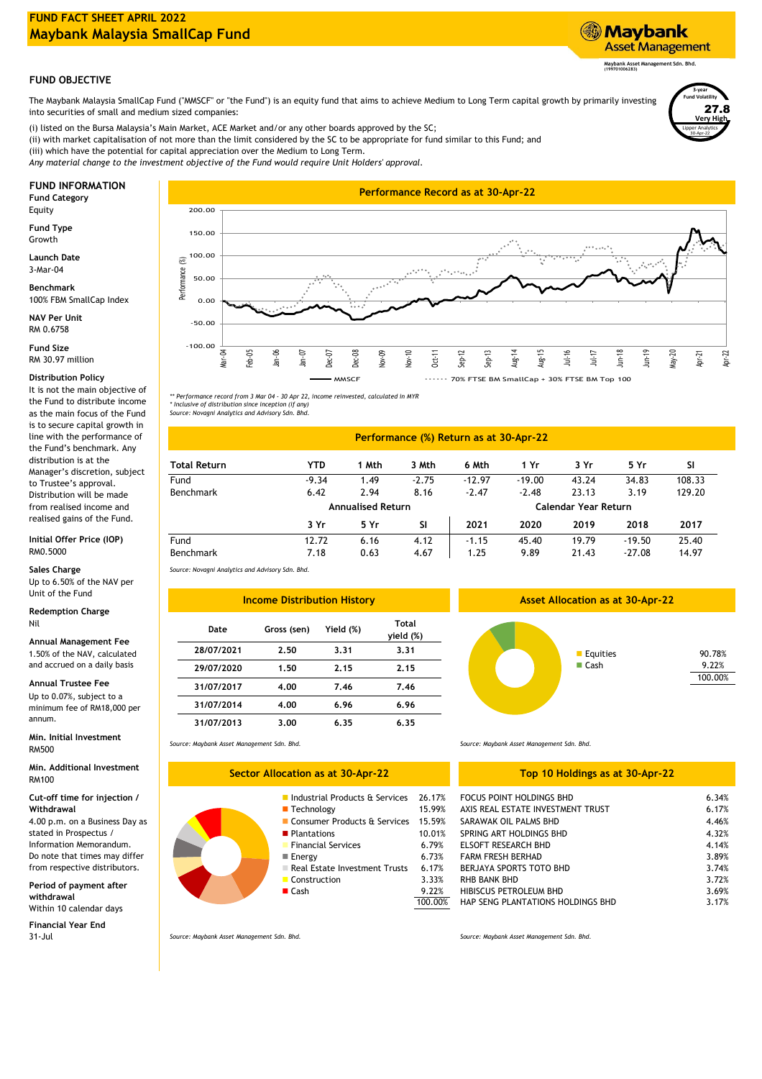# **FUND FACT SHEET APRIL 2022 Maybank Malaysia SmallCap Fund**

## **Maybank Asset Management Sdn. Bhd. (199701006283)**

**Asset Management** 

**Maybank** 

Lipper Analytics

30-Apr-22

**3-year Fund Volatility Very High** 27.8

# **FUND OBJECTIVE**

The Maybank Malaysia SmallCap Fund ("MMSCF" or "the Fund") is an equity fund that aims to achieve Medium to Long Term capital growth by primarily investing into securities of small and medium sized companies:

(i) listed on the Bursa Malaysia's Main Market, ACE Market and/or any other boards approved by the SC; (ii) with market capitalisation of not more than the limit considered by the SC to be appropriate for fund similar to this Fund; and (iii) which have the potential for capital appreciation over the Medium to Long Term. *Any material change to the investment objective of the Fund would require Unit Holders' approval.*

Equity

**Fund Type** Growth

3-Mar-04 **Launch Date**

**Benchmark** 100% FBM SmallCap Index

RM 0.6758 **NAV Per Unit**

RM 30.97 million **Fund Size**

## **Distribution Policy**

It is not the main objective of the Fund to distribute income as the main focus of the Fund is to secure capital growth in line with the performance of the Fund's benchmark. Any distribution is at the Manager's discretion, subject to Trustee's approval. Distribution will be made from realised income and realised gains of the Fund.

#### **Initial Offer Price (IOP)** RM0.5000

**Sales Charge**

Up to 6.50% of the NAV per Unit of the Fund

#### **Redemption Charge** Nil

**Min. Initial Investment** RM500

**Min. Additional Investment** RM100

4.00 p.m. on a Business Day as stated in Prospectus / **Cut-off time for injection / Withdrawal**

Information Memorandum. Do note that times may differ from respective distributors.

Within 10 calendar days **Period of payment after withdrawal**

31-Jul **Financial Year End**



*\*\* Performance record from 3 Mar 04 - 30 Apr 22, income reinvested, calculated in MYR \* Inclusive of distribution since inception (if any) Source: Novagni Analytics and Advisory Sdn. Bhd.*

### **Performance (%) Return as at 30-Apr-22**

| <b>Total Return</b> | YTD     | 1 Mth                    | 3 Mth     | 6 Mth    | 1 Yr     | 3 Yr                 | 5 Yr     | SI     |
|---------------------|---------|--------------------------|-----------|----------|----------|----------------------|----------|--------|
| Fund                | $-9.34$ | 1.49                     | $-2.75$   | $-12.97$ | $-19.00$ | 43.24                | 34.83    | 108.33 |
| Benchmark           | 6.42    | 2.94                     | 8.16      | $-2.47$  | $-2.48$  | 23.13                | 3.19     | 129.20 |
|                     |         | <b>Annualised Return</b> |           |          |          | Calendar Year Return |          |        |
|                     | 3 Yr    | 5 Yr                     | <b>SI</b> | 2021     | 2020     | 2019                 | 2018     | 2017   |
| Fund                | 12.72   | 6.16                     | 4.12      | $-1.15$  | 45.40    | 19.79                | $-19.50$ | 25.40  |
| Benchmark           | 7.18    | 0.63                     | 4.67      | 1.25     | 9.89     | 21.43                | $-27.08$ | 14.97  |

*Source: Novagni Analytics and Advisory Sdn. Bhd.*

| Unit of the Fund                                                                         | <b>Income Distribution History</b> |             |           |                           |  |  |  |
|------------------------------------------------------------------------------------------|------------------------------------|-------------|-----------|---------------------------|--|--|--|
| <b>Redemption Charge</b><br>Nil                                                          | Date                               | Gross (sen) | Yield (%) | <b>Total</b><br>yield (%) |  |  |  |
| Annual Management Fee<br>1.50% of the NAV, calculated<br>and accrued on a daily basis    | 28/07/2021                         | 2.50        | 3.31      | 3.31                      |  |  |  |
|                                                                                          | 29/07/2020                         | 1.50        | 2.15      | 2.15                      |  |  |  |
| Annual Trustee Fee<br>Up to 0.07%, subject to a<br>minimum fee of RM18,000 per<br>annum. | 31/07/2017                         | 4.00        | 7.46      | 7.46                      |  |  |  |
|                                                                                          | 31/07/2014                         | 4.00        | 6.96      | 6.96                      |  |  |  |
|                                                                                          | 31/07/2013                         | 3.00        | 6.35      | 6.35                      |  |  |  |

**Sector Allocation as at 30-Apr-22**

*Source: Maybank Asset Management Sdn. Bhd.*

### **Top 10 Holdings as at 30-Apr-22**

| Industrial Products & Services 26.17% |                                                                 |                          |
|---------------------------------------|-----------------------------------------------------------------|--------------------------|
|                                       |                                                                 | 6.34%                    |
| 15.99%                                | AXIS REAL ESTATE INVESTMENT TRUST                               | 6.17%                    |
| 15.59%                                | SARAWAK OIL PALMS BHD                                           | 4.46%                    |
| 10.01%                                | SPRING ART HOLDINGS BHD                                         | 4.32%                    |
| 6.79%                                 | <b>ELSOFT RESEARCH BHD</b>                                      | 4.14%                    |
| 6.73%                                 | <b>FARM FRESH BERHAD</b>                                        | 3.89%                    |
| 6.17%                                 | BERJAYA SPORTS TOTO BHD                                         | 3.74%                    |
| 3.33%                                 | <b>RHB BANK BHD</b>                                             | 3.72%                    |
| 9.22%                                 | HIBISCUS PETROLEUM BHD                                          | 3.69%                    |
| 100.00%                               | HAP SENG PLANTATIONS HOLDINGS BHD                               | 3.17%                    |
|                                       | ■ Consumer Products & Services<br>Real Estate Investment Trusts | FOCUS POINT HOLDINGS BHD |

*Source: Maybank Asset Management Sdn. Bhd. Source: Maybank Asset Management Sdn. Bhd.*

*Source: Maybank Asset Management Sdn. Bhd.*



**Asset Allocation as at 30-Apr-22**